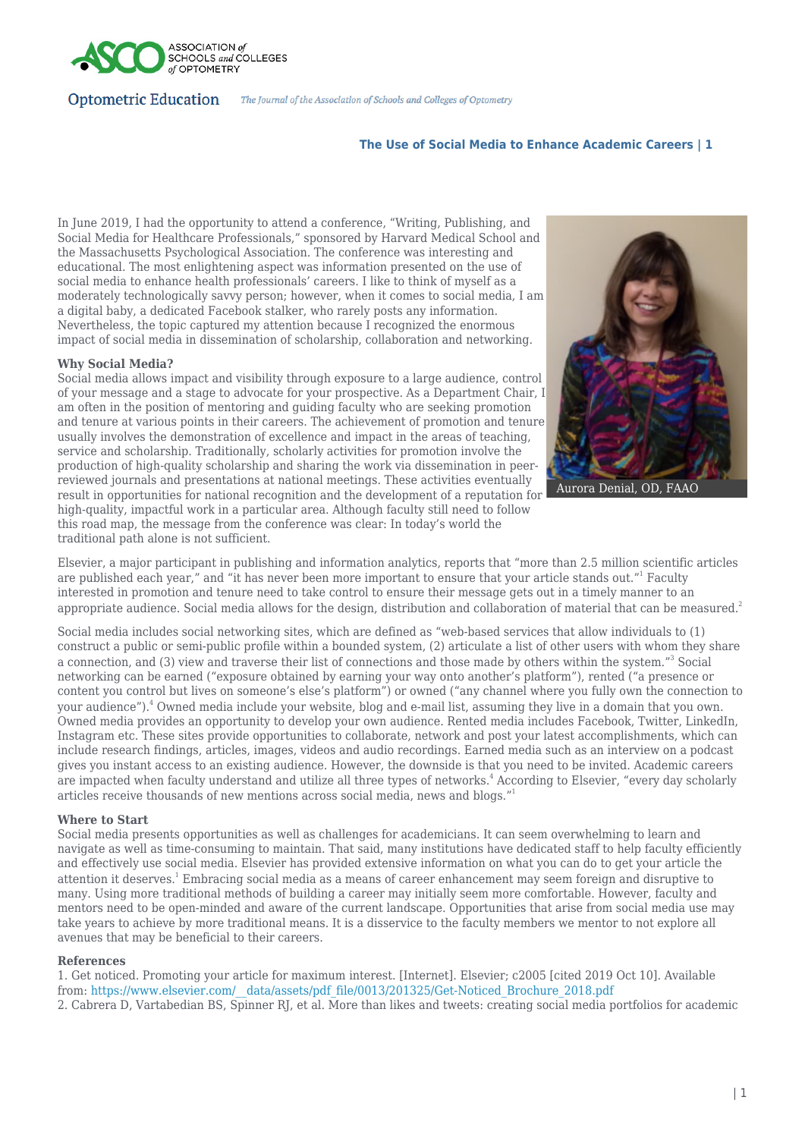

## **Optometric Education** The Journal of the Association of Schools and Colleges of Optometry

# **The Use of Social Media to Enhance Academic Careers | 1**

In June 2019, I had the opportunity to attend a conference, "Writing, Publishing, and Social Media for Healthcare Professionals," sponsored by Harvard Medical School and the Massachusetts Psychological Association. The conference was interesting and educational. The most enlightening aspect was information presented on the use of social media to enhance health professionals' careers. I like to think of myself as a moderately technologically savvy person; however, when it comes to social media, I am a digital baby, a dedicated Facebook stalker, who rarely posts any information. Nevertheless, the topic captured my attention because I recognized the enormous impact of social media in dissemination of scholarship, collaboration and networking.

## **Why Social Media?**

Social media allows impact and visibility through exposure to a large audience, control of your message and a stage to advocate for your prospective. As a Department Chair, I am often in the position of mentoring and guiding faculty who are seeking promotion and tenure at various points in their careers. The achievement of promotion and tenure usually involves the demonstration of excellence and impact in the areas of teaching, service and scholarship. Traditionally, scholarly activities for promotion involve the production of high-quality scholarship and sharing the work via dissemination in peerreviewed journals and presentations at national meetings. These activities eventually result in opportunities for national recognition and the development of a reputation for high-quality, impactful work in a particular area. Although faculty still need to follow this road map, the message from the conference was clear: In today's world the traditional path alone is not sufficient.



Aurora Denial, OD, FAAO

Elsevier, a major participant in publishing and information analytics, reports that "more than 2.5 million scientific articles are published each year," and "it has never been more important to ensure that your article stands out."<sup>1</sup> Faculty interested in promotion and tenure need to take control to ensure their message gets out in a timely manner to an appropriate audience. Social media allows for the design, distribution and collaboration of material that can be measured.<sup>2</sup>

Social media includes social networking sites, which are defined as "web-based services that allow individuals to (1) construct a public or semi-public profile within a bounded system, (2) articulate a list of other users with whom they share a connection, and (3) view and traverse their list of connections and those made by others within the system."<sup>3</sup> Social networking can be earned ("exposure obtained by earning your way onto another's platform"), rented ("a presence or content you control but lives on someone's else's platform") or owned ("any channel where you fully own the connection to your audience").<sup>4</sup> Owned media include your website, blog and e-mail list, assuming they live in a domain that you own. Owned media provides an opportunity to develop your own audience. Rented media includes Facebook, Twitter, LinkedIn, Instagram etc. These sites provide opportunities to collaborate, network and post your latest accomplishments, which can include research findings, articles, images, videos and audio recordings. Earned media such as an interview on a podcast gives you instant access to an existing audience. However, the downside is that you need to be invited. Academic careers are impacted when faculty understand and utilize all three types of networks.<sup>4</sup> According to Elsevier, "every day scholarly articles receive thousands of new mentions across social media, news and blogs."<sup>1</sup>

## **Where to Start**

Social media presents opportunities as well as challenges for academicians. It can seem overwhelming to learn and navigate as well as time-consuming to maintain. That said, many institutions have dedicated staff to help faculty efficiently and effectively use social media. Elsevier has provided extensive information on what you can do to get your article the attention it deserves.<sup>1</sup> Embracing social media as a means of career enhancement may seem foreign and disruptive to many. Using more traditional methods of building a career may initially seem more comfortable. However, faculty and mentors need to be open-minded and aware of the current landscape. Opportunities that arise from social media use may take years to achieve by more traditional means. It is a disservice to the faculty members we mentor to not explore all avenues that may be beneficial to their careers.

## **References**

1. Get noticed. Promoting your article for maximum interest. [Internet]. Elsevier; c2005 [cited 2019 Oct 10]. Available from: https://www.elsevier.com/\_data/assets/pdf\_file/0013/201325/Get-Noticed\_Brochure\_2018.pdf 2. Cabrera D, Vartabedian BS, Spinner RJ, et al. More than likes and tweets: creating social media portfolios for academic